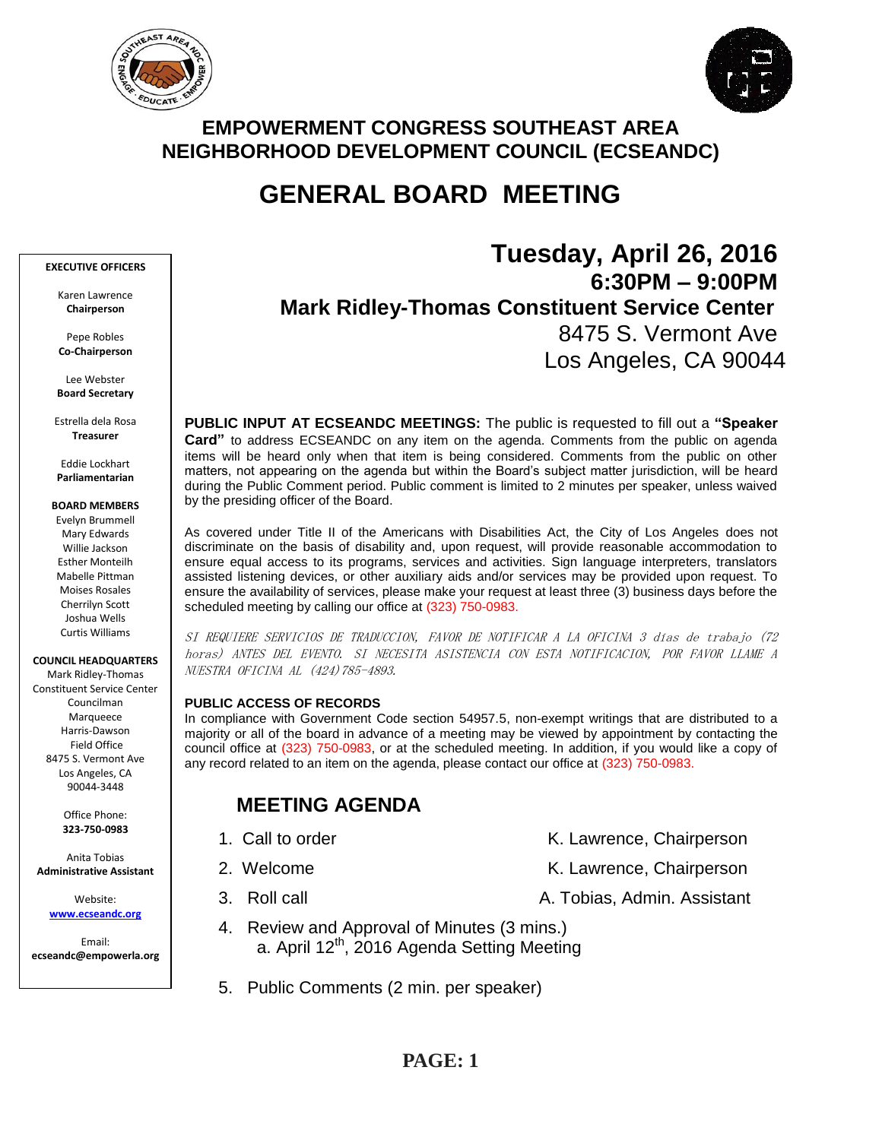



# **EMPOWERMENT CONGRESS SOUTHEAST AREA NEIGHBORHOOD DEVELOPMENT COUNCIL (ECSEANDC)**

# **GENERAL BOARD MEETING**

#### **EXECUTIVE OFFICERS**

Karen Lawrence **Chairperson**

Pepe Robles **Co-Chairperson**

Lee Webster **Board Secretary**

Estrella dela Rosa **Treasurer**

Eddie Lockhart **Parliamentarian**

#### **BOARD MEMBERS**

Evelyn Brummell Mary Edwards Willie Jackson Esther Monteilh Mabelle Pittman Moises Rosales Cherrilyn Scott Joshua Wells Curtis Williams

**COUNCIL HEADQUARTERS**

Mark Ridley-Thomas Constituent Service Center Councilman Marqueece Harris-Dawson Field Office 8475 S. Vermont Ave Los Angeles, CA 90044-3448

> Office Phone: **323-750-0983**

Anita Tobias **Administrative Assistant**

> Website: **[www.ecseandc.org](http://www.ecseandc.org/)**

Email: **ecseandc@empowerla.org**

# **Tuesday, April 26, 2016 6:30PM – 9:00PM Mark Ridley-Thomas Constituent Service Center** 8475 S. Vermont Ave Los Angeles, CA 90044

**PUBLIC INPUT AT ECSEANDC MEETINGS:** The public is requested to fill out a **"Speaker Card"** to address ECSEANDC on any item on the agenda. Comments from the public on agenda items will be heard only when that item is being considered. Comments from the public on other matters, not appearing on the agenda but within the Board's subject matter jurisdiction, will be heard during the Public Comment period. Public comment is limited to 2 minutes per speaker, unless waived by the presiding officer of the Board.

As covered under Title II of the Americans with Disabilities Act, the City of Los Angeles does not discriminate on the basis of disability and, upon request, will provide reasonable accommodation to ensure equal access to its programs, services and activities. Sign language interpreters, translators assisted listening devices, or other auxiliary aids and/or services may be provided upon request. To ensure the availability of services, please make your request at least three (3) business days before the scheduled meeting by calling our office at (323) 750-0983.

SI REQUIERE SERVICIOS DE TRADUCCION, FAVOR DE NOTIFICAR A LA OFICINA 3 días de trabajo (72 horas) ANTES DEL EVENTO. SI NECESITA ASISTENCIA CON ESTA NOTIFICACION, POR FAVOR LLAME A NUESTRA OFICINA AL (424)785-4893.

### **PUBLIC ACCESS OF RECORDS**

In compliance with Government Code section 54957.5, non-exempt writings that are distributed to a majority or all of the board in advance of a meeting may be viewed by appointment by contacting the council office at (323) 750-0983, or at the scheduled meeting. In addition, if you would like a copy of any record related to an item on the agenda, please contact our office at (323) 750-0983.

# **MEETING AGENDA**

- 
- -
	- 4. Review and Approval of Minutes (3 mins.) a. April 12<sup>th</sup>, 2016 Agenda Setting Meeting
	- 5. Public Comments (2 min. per speaker)

- 1. Call to order The Call to order The Chairperson K. Lawrence, Chairperson
- 2. Welcome **K. Lawrence, Chairperson**
- 3. Roll call **A. Tobias, Admin. Assistant**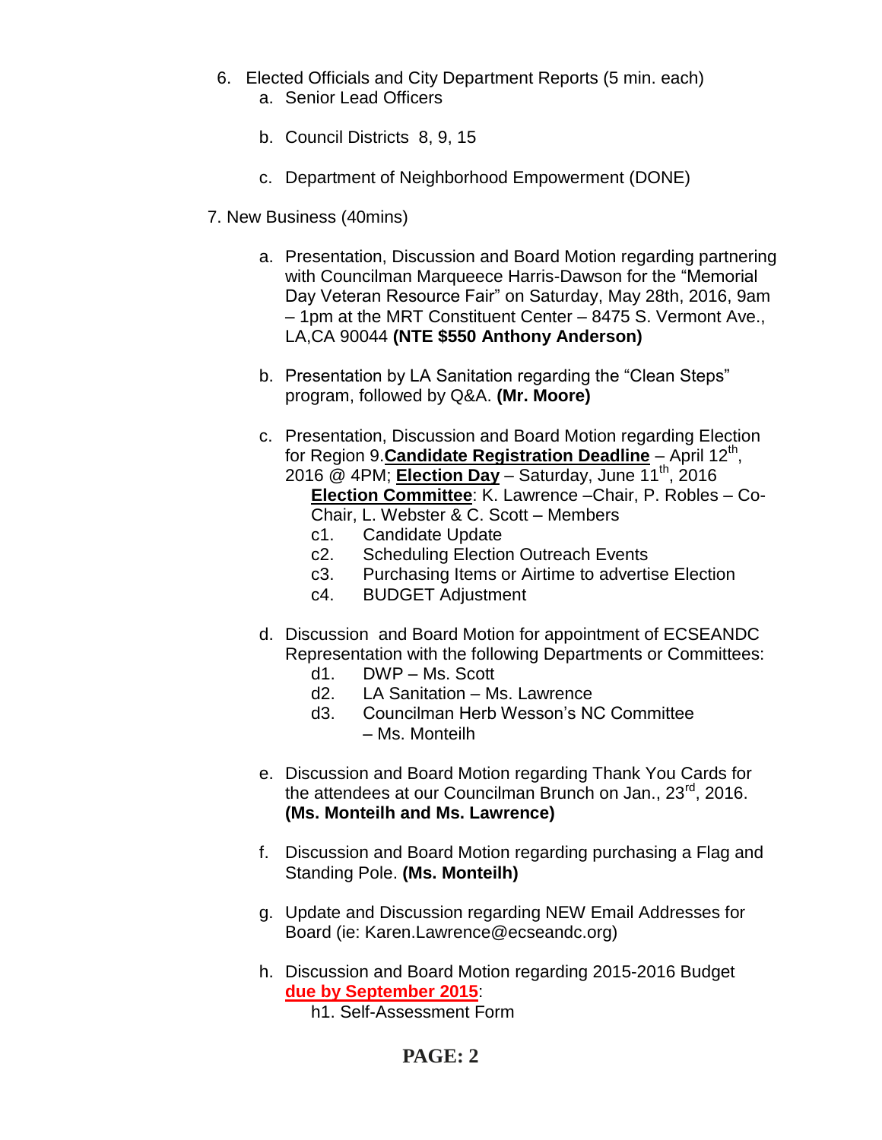- 6. Elected Officials and City Department Reports (5 min. each) a. Senior Lead Officers
	- b. Council Districts 8, 9, 15
	- c. Department of Neighborhood Empowerment (DONE)
- 7. New Business (40mins)
	- a. Presentation, Discussion and Board Motion regarding partnering with Councilman Marqueece Harris-Dawson for the "Memorial Day Veteran Resource Fair" on Saturday, May 28th, 2016, 9am – 1pm at the MRT Constituent Center – 8475 S. Vermont Ave., LA,CA 90044 **(NTE \$550 Anthony Anderson)**
	- b. Presentation by LA Sanitation regarding the "Clean Steps" program, followed by Q&A. **(Mr. Moore)**
	- c. Presentation, Discussion and Board Motion regarding Election for Region 9. **Candidate Registration Deadline** - April 12<sup>th</sup>, 2016 @ 4PM; **Election Day** – Saturday, June 11th, 2016 **Election Committee**: K. Lawrence –Chair, P. Robles – Co-Chair, L. Webster & C. Scott – Members
		- c1. Candidate Update
		- c2. Scheduling Election Outreach Events
		- c3. Purchasing Items or Airtime to advertise Election
		- c4. BUDGET Adjustment
	- d. Discussion and Board Motion for appointment of ECSEANDC Representation with the following Departments or Committees:
		- d1. DWP Ms. Scott
		- d2. LA Sanitation Ms. Lawrence
		- d3. Councilman Herb Wesson's NC Committee – Ms. Monteilh
	- e. Discussion and Board Motion regarding Thank You Cards for the attendees at our Councilman Brunch on Jan., 23<sup>rd</sup>, 2016. **(Ms. Monteilh and Ms. Lawrence)**
	- f. Discussion and Board Motion regarding purchasing a Flag and Standing Pole. **(Ms. Monteilh)**
	- g. Update and Discussion regarding NEW Email Addresses for Board (ie: Karen.Lawrence@ecseandc.org)
	- h. Discussion and Board Motion regarding 2015-2016 Budget **due by September 2015**:

h1. Self-Assessment Form

# **PAGE: 2**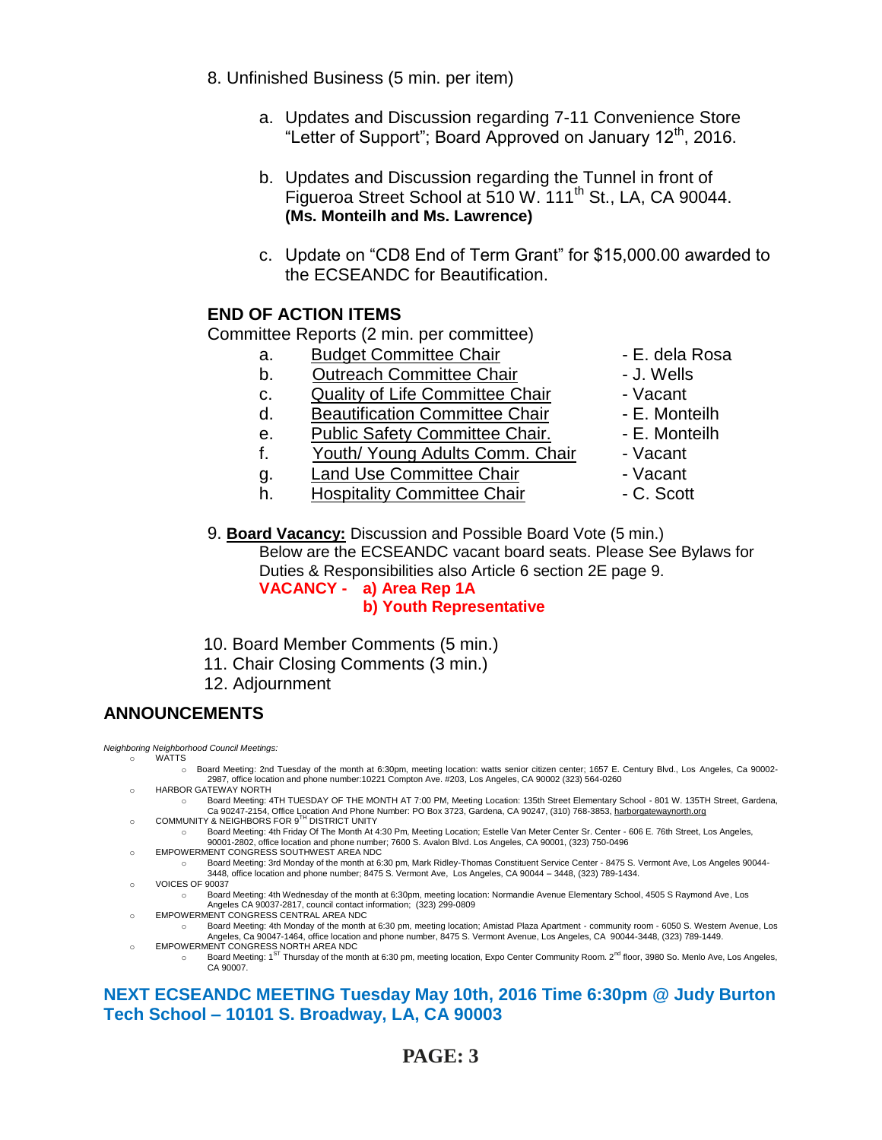- 8. Unfinished Business (5 min. per item)
	- a. Updates and Discussion regarding 7-11 Convenience Store "Letter of Support"; Board Approved on January 12<sup>th</sup>, 2016.
	- b. Updates and Discussion regarding the Tunnel in front of Figueroa Street School at 510 W. 111<sup>th</sup> St., LA, CA 90044. **(Ms. Monteilh and Ms. Lawrence)**
	- c. Update on "CD8 End of Term Grant" for \$15,000.00 awarded to the ECSEANDC for Beautification.

# **END OF ACTION ITEMS**

Committee Reports (2 min. per committee)

- a. Budget Committee Chair  **E. dela Rosa**
- b. Outreach Committee Chair **Daniel Committee Chair dance 1**
- c. Quality of Life Committee Chair Vacant
- d. Beautification Committee Chair Fame E. Monteilh
- e. Public Safety Committee Chair. E. Monteilh
- f. Youth/ Young Adults Comm. Chair Vacant
- 
- g. Land Use Committee Chair The Macant Chair Constant to Land Committee Chair The C. Scott h. Hospitality Committee Chair
- 
- 
- 
- 
- 
- -
	-
- 9. **Board Vacancy:** Discussion and Possible Board Vote (5 min.) Below are the ECSEANDC vacant board seats. Please See Bylaws for Duties & Responsibilities also Article 6 section 2E page 9. **VACANCY - a) Area Rep 1A**

## **b) Youth Representative**

- 10. Board Member Comments (5 min.)
- 11. Chair Closing Comments (3 min.)
- 12. Adjournment

## **ANNOUNCEMENTS**

*Neighboring Neighborhood Council Meetings:* o WATTS

- o Board Meeting: 2nd Tuesday of the month at 6:30pm, meeting location: watts senior citizen center; 1657 E. Century Blvd., Los Angeles, Ca 90002- 2987, office location and phone number:10221 Compton Ave. #203, Los Angeles, CA 90002 (323) 564-0260
- o HARBOR GATEWAY NORTH
- o Board Meeting: 4TH TUESDAY OF THE MONTH AT 7:00 PM, Meeting Location: 135th Street Elementary School 801 W. 135TH Street, Gardena, Ca 90247-2154, Office Location And Phone Number: PO Box 3723, Gardena, CA 90247, (310) 768-3853, <u>harborgatewaynorth.org وCOMMUNITY & NEIGHBORS FOR 9<sup>TH</sup> DISTRICT UNITY</u>
- o Board Meeting: 4th Friday Of The Month At 4:30 Pm, Meeting Location; Estelle Van Meter Center Sr. Center 606 E. 76th Street, Los Angeles,
- 90001-2802, office location and phone number; 7600 S. Avalon Blvd. Los Angeles, CA 90001, (323) 750-0496 o EMPOWERMENT CONGRESS SOUTHWEST AREA NDC
	- o Board Meeting: 3rd Monday of the month at 6:30 pm, Mark Ridley-Thomas Constituent Service Center 8475 S. Vermont Ave, Los Angeles 90044- 3448, office location and phone number; 8475 S. Vermont Ave, Los Angeles, CA 90044 – 3448, (323) 789-1434.
- o VOICES OF 90037
	- o Board Meeting: 4th Wednesday of the month at 6:30pm, meeting location: Normandie Avenue Elementary School, 4505 S Raymond Ave, Los Angeles CA 90037-2817, council contact information; (323) 299-0809
- o EMPOWERMENT CONGRESS CENTRAL AREA NDC
- o Board Meeting: 4th Monday of the month at 6:30 pm, meeting location; Amistad Plaza Apartment community room 6050 S. Western Avenue, Los Angeles, Ca 90047-1464, office location and phone number, 8475 S. Vermont Avenue, Los Angeles, CA 90044-3448, (323) 789-1449.
- EMPOWERMENT CONGRESS NORTH AREA NDC Board Meeting: 1<sup>ST</sup> Thursday of the month at 6:30 pm, meeting location, Expo Center Community Room. 2<sup>nd</sup> floor, 3980 So. Menlo Ave, Los Angeles, CA 90007.

# **NEXT ECSEANDC MEETING Tuesday May 10th, 2016 Time 6:30pm @ Judy Burton Tech School – 10101 S. Broadway, LA, CA 90003**

# **PAGE: 3**